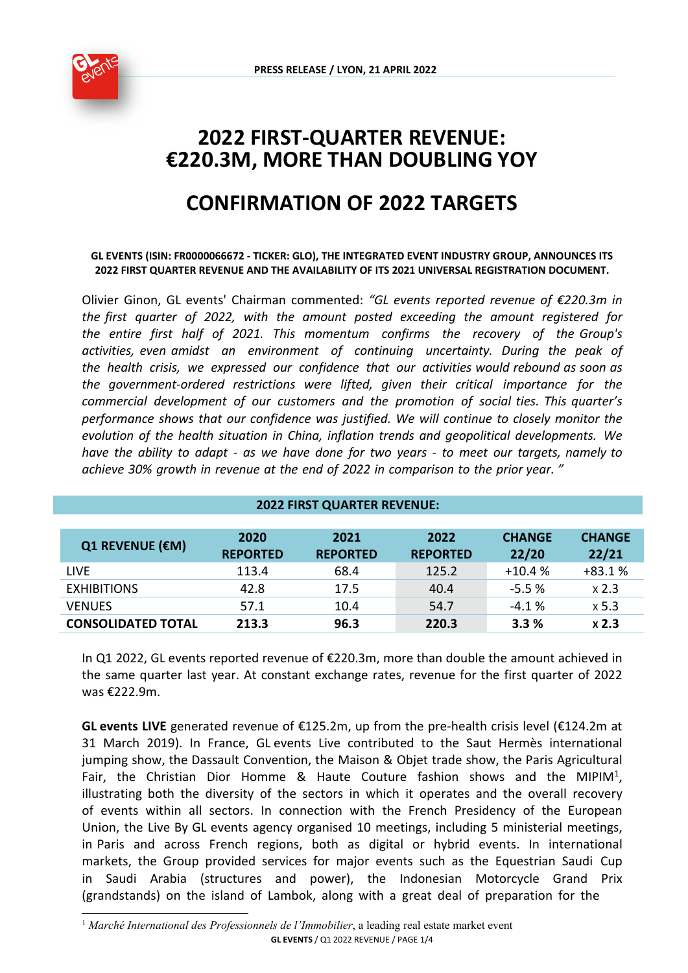

# **2022 FIRST-QUARTER REVENUE: €220.3M, MORE THAN DOUBLING YOY**

# **CONFIRMATION OF 2022 TARGETS**

#### **GL EVENTS (ISIN: FR0000066672 - TICKER: GLO), THE INTEGRATED EVENT INDUSTRY GROUP, ANNOUNCES ITS 2022 FIRST QUARTER REVENUE AND THE AVAILABILITY OF ITS 2021 UNIVERSAL REGISTRATION DOCUMENT.**

Olivier Ginon, GL events' Chairman commented: *"GL events reported revenue of €220.3m in the first quarter of 2022, with the amount posted exceeding the amount registered for the entire first half of 2021. This momentum confirms the recovery of the Group's activities, even amidst an environment of continuing uncertainty. During the peak of the health crisis, we expressed our confidence that our activities would rebound as soon as the government-ordered restrictions were lifted, given their critical importance for the commercial development of our customers and the promotion of social ties. This quarter's performance shows that our confidence was justified. We will continue to closely monitor the evolution of the health situation in China, inflation trends and geopolitical developments. We have the ability to adapt - as we have done for two years - to meet our targets, namely to achieve 30% growth in revenue at the end of 2022 in comparison to the prior year. "* 

| <b>2022 FIRST QUARTER REVENUE:</b> |                 |                 |                 |               |               |
|------------------------------------|-----------------|-----------------|-----------------|---------------|---------------|
|                                    |                 |                 |                 |               |               |
| <b>Q1 REVENUE (€M)</b>             | 2020            | 2021            | 2022            | <b>CHANGE</b> | <b>CHANGE</b> |
|                                    | <b>REPORTED</b> | <b>REPORTED</b> | <b>REPORTED</b> | 22/20         | 22/21         |
| <b>LIVE</b>                        | 113.4           | 68.4            | 125.2           | $+10.4%$      | $+83.1%$      |
| <b>EXHIBITIONS</b>                 | 42.8            | 17.5            | 40.4            | $-5.5%$       | x 2.3         |
| <b>VENUES</b>                      | 57.1            | 10.4            | 54.7            | $-4.1%$       | x 5.3         |
| <b>CONSOLIDATED TOTAL</b>          | 213.3           | 96.3            | 220.3           | 3.3%          | x 2.3         |

In Q1 2022, GL events reported revenue of €220.3m, more than double the amount achieved in the same quarter last year. At constant exchange rates, revenue for the first quarter of 2022 was €222.9m.

**GL events LIVE** generated revenue of €125.2m, up from the pre-health crisis level (€124.2m at 31 March 2019). In France, GL events Live contributed to the Saut Hermès international jumping show, the Dassault Convention, the Maison & Objet trade show, the Paris Agricultural Fair, the Christian Dior Homme & Haute Couture fashion shows and the MIPIM<sup>[1](#page-0-0)</sup>, illustrating both the diversity of the sectors in which it operates and the overall recovery of events within all sectors. In connection with the French Presidency of the European Union, the Live By GL events agency organised 10 meetings, including 5 ministerial meetings, in Paris and across French regions, both as digital or hybrid events. In international markets, the Group provided services for major events such as the Equestrian Saudi Cup in Saudi Arabia (structures and power), the Indonesian Motorcycle Grand Prix (grandstands) on the island of Lambok, along with a great deal of preparation for the

<span id="page-0-0"></span>**GL EVENTS** / Q1 2022 REVENUE / PAGE 1/4 <sup>1</sup> Marché International des Professionnels de l'Immobilier, a leading real estate market event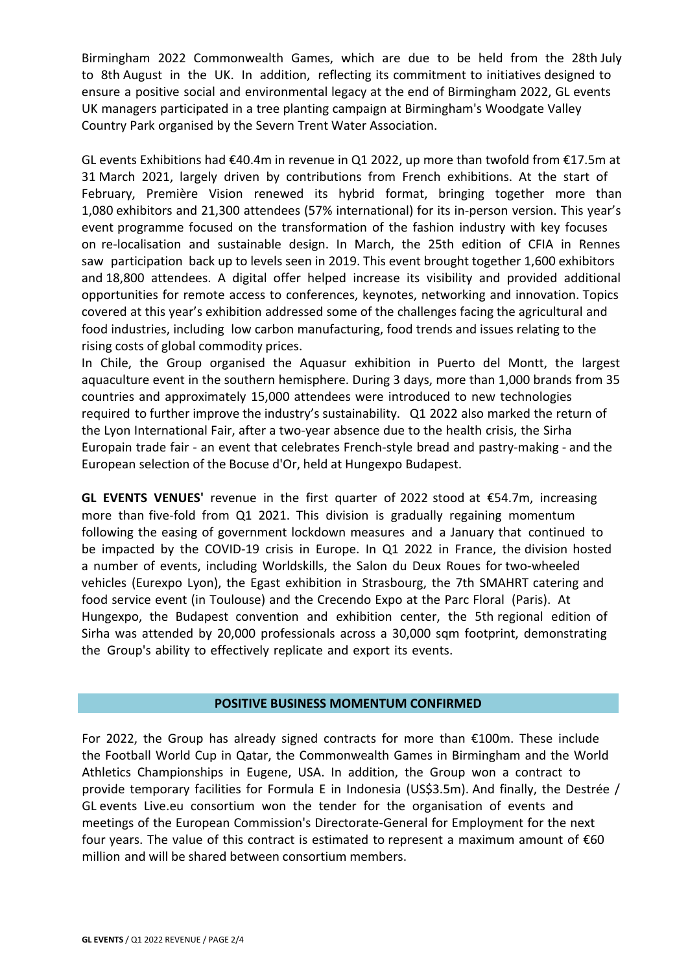Birmingham 2022 Commonwealth Games, which are due to be held from the 28th July to 8th August in the UK. In addition, reflecting its commitment to initiatives designed to ensure a positive social and environmental legacy at the end of Birmingham 2022, GL events UK managers participated in a tree planting campaign at Birmingham's Woodgate Valley Country Park organised by the Severn Trent Water Association.

GL events Exhibitions had €40.4m in revenue in Q1 2022, up more than twofold from €17.5m at 31 March 2021, largely driven by contributions from French exhibitions. At the start of February, Première Vision renewed its hybrid format, bringing together more than 1,080 exhibitors and 21,300 attendees (57% international) for its in-person version. This year's event programme focused on the transformation of the fashion industry with key focuses on re-localisation and sustainable design. In March, the 25th edition of CFIA in Rennes saw participation back up to levels seen in 2019. This event brought together 1,600 exhibitors and 18,800 attendees. A digital offer helped increase its visibility and provided additional opportunities for remote access to conferences, keynotes, networking and innovation. Topics covered at this year's exhibition addressed some of the challenges facing the agricultural and food industries, including low carbon manufacturing, food trends and issues relating to the rising costs of global commodity prices.

In Chile, the Group organised the Aquasur exhibition in Puerto del Montt, the largest aquaculture event in the southern hemisphere. During 3 days, more than 1,000 brands from 35 countries and approximately 15,000 attendees were introduced to new technologies required to further improve the industry's sustainability. Q1 2022 also marked the return of the Lyon International Fair, after a two-year absence due to the health crisis, the Sirha Europain trade fair - an event that celebrates French-style bread and pastry-making - and the European selection of the Bocuse d'Or, held at Hungexpo Budapest.

**GL EVENTS VENUES'** revenue in the first quarter of 2022 stood at €54.7m, increasing more than five-fold from Q1 2021. This division is gradually regaining momentum following the easing of government lockdown measures and a January that continued to be impacted by the COVID-19 crisis in Europe. In Q1 2022 in France, the division hosted a number of events, including Worldskills, the Salon du Deux Roues for two-wheeled vehicles (Eurexpo Lyon), the Egast exhibition in Strasbourg, the 7th SMAHRT catering and food service event (in Toulouse) and the Crecendo Expo at the Parc Floral (Paris). At Hungexpo, the Budapest convention and exhibition center, the 5th regional edition of Sirha was attended by 20,000 professionals across a 30,000 sqm footprint, demonstrating the Group's ability to effectively replicate and export its events.

## the quarter and displayed good operational and business momentum. **POSITIVE BUSINESS MOMENTUM CONFIRMED**

For 2022, the Group has already signed contracts for more than €100m. These include the Football World Cup in Qatar, the Commonwealth Games in Birmingham and the World Athletics Championships in Eugene, USA. In addition, the Group won a contract to provide temporary facilities for Formula E in Indonesia (US\$3.5m). And finally, the Destrée / GL events Live.eu consortium won the tender for the organisation of events and meetings of the European Commission's Directorate-General for Employment for the next four years. The value of this contract is estimated to represent a maximum amount of €60 million and will be shared between consortium members.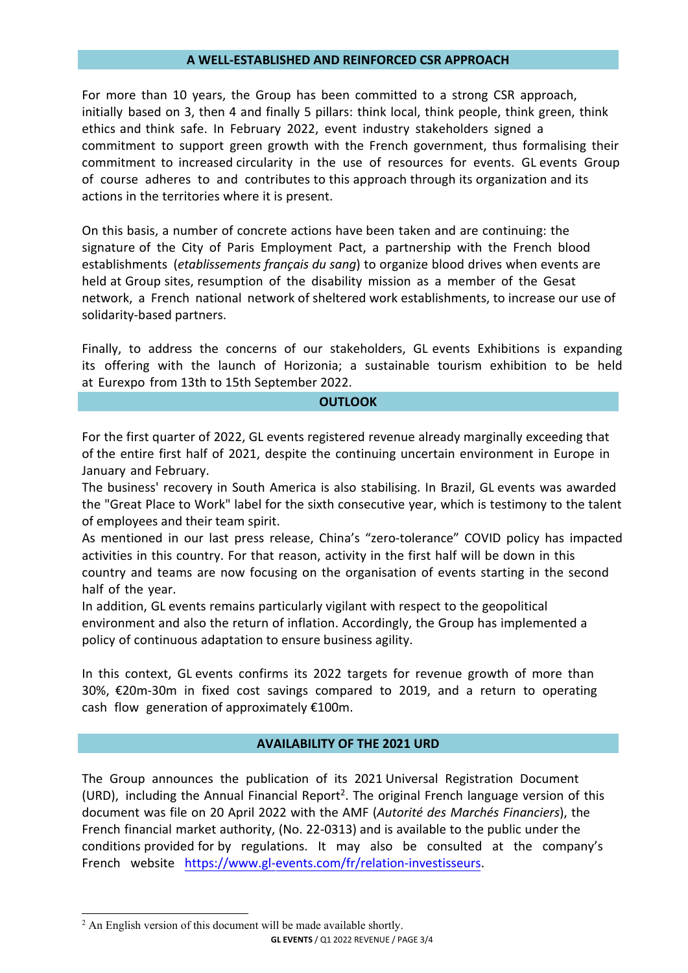#### **A WELL-ESTABLISHED AND REINFORCED CSR APPROACH**

For more than 10 years, the Group has been committed to a strong CSR approach, initially based on 3, then 4 and finally 5 pillars: think local, think people, think green, think ethics and think safe. In February 2022, event industry stakeholders signed a commitment to support green growth with the French government, thus formalising their commitment to increased circularity in the use of resources for events. GL events Group of course adheres to and contributes to this approach through its organization and its actions in the territories where it is present.

On this basis, a number of concrete actions have been taken and are continuing: the signature of the City of Paris Employment Pact, a partnership with the French blood establishments (*etablissements français du sang*) to organize blood drives when events are held at Group sites, resumption of the disability mission as a member of the Gesat network, a French national network of sheltered work establishments, to increase our use of solidarity-based partners.

Finally, to address the concerns of our stakeholders, GL events Exhibitions is expanding its offering with the launch of Horizonia; a sustainable tourism exhibition to be held at Eurexpo from 13th to 15th September 2022.

#### **OUTLOOK**

For the first quarter of 2022, GL events registered revenue already marginally exceeding that of the entire first half of 2021, despite the continuing uncertain environment in Europe in January and February.

The business' recovery in South America is also stabilising. In Brazil, GL events was awarded the "Great Place to Work" label for the sixth consecutive year, which is testimony to the talent of employees and their team spirit.

As mentioned in our last press release, China's "zero-tolerance" COVID policy has impacted activities in this country. For that reason, activity in the first half will be down in this country and teams are now focusing on the organisation of events starting in the second half of the year.

In addition, GL events remains particularly vigilant with respect to the geopolitical environment and also the return of inflation. Accordingly, the Group has implemented a policy of continuous adaptation to ensure business agility.

In this context, GL events confirms its 2022 targets for revenue growth of more than 30%, €20m-30m in fixed cost savings compared to 2019, and a return to operating cash flow generation of approximately €100m.

### **AVAILABILITY OF THE 2021 URD**

The Group announces the publication of its 2021 Universal Registration Document (URD), including the Annual Financial Report<sup>[2](#page-2-0)</sup>. The original French language version of this document was file on 20 April 2022 with the AMF (*Autorité des Marchés Financiers*), the French financial market authority, (No. 22-0313) and is available to the public under the conditions provided for by regulations. It may also be consulted at th[e company's](https://www.gl-events.com/fr/relation-investisseurs)  French [website https://www.gl-eve](https://www.gl-events.com/fr/relation-investisseurs)nts.com/fr/relation-investisseurs.

<span id="page-2-0"></span>**GL EVENTS** / Q1 2022 REVENUE / PAGE 3/4 <sup>2</sup> An English version of this document will be made available shortly.